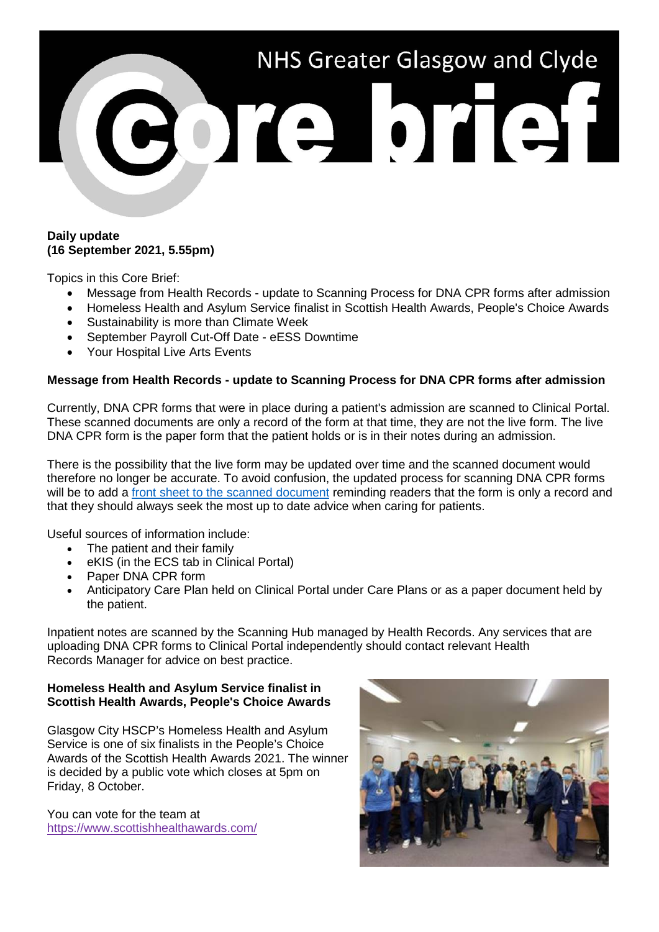

## **Daily update (16 September 2021, 5.55pm)**

Topics in this Core Brief:

- Message from Health Records update to Scanning Process for DNA CPR forms after admission
- Homeless Health and Asylum Service finalist in Scottish Health Awards, People's Choice Awards
- Sustainability is more than Climate Week
- September Payroll Cut-Off Date eESS Downtime
- Your Hospital Live Arts Events

# **Message from Health Records - update to Scanning Process for DNA CPR forms after admission**

Currently, DNA CPR forms that were in place during a patient's admission are scanned to Clinical Portal. These scanned documents are only a record of the form at that time, they are not the live form. The live DNA CPR form is the paper form that the patient holds or is in their notes during an admission.

There is the possibility that the live form may be updated over time and the scanned document would therefore no longer be accurate. To avoid confusion, the updated process for scanning DNA CPR forms will be to add a [front sheet to the scanned document](http://www.staffnet.ggc.scot.nhs.uk/Corporate%20Services/Communications/Hot%20Topics/Documents/DNA%20CPR%20form%20wording.docx) reminding readers that the form is only a record and that they should always seek the most up to date advice when caring for patients.

Useful sources of information include:

- The patient and their family
- eKIS (in the ECS tab in Clinical Portal)
- Paper DNA CPR form
- Anticipatory Care Plan held on Clinical Portal under Care Plans or as a paper document held by the patient.

Inpatient notes are scanned by the Scanning Hub managed by Health Records. Any services that are uploading DNA CPR forms to Clinical Portal independently should contact relevant Health Records Manager for advice on best practice.

## **Homeless Health and Asylum Service finalist in Scottish Health Awards, People's Choice Awards**

Glasgow City HSCP's Homeless Health and Asylum Service is one of six finalists in the People's Choice Awards of the Scottish Health Awards 2021. The winner is decided by a public vote which closes at 5pm on Friday, 8 October.

You can vote for the team at <https://www.scottishhealthawards.com/>